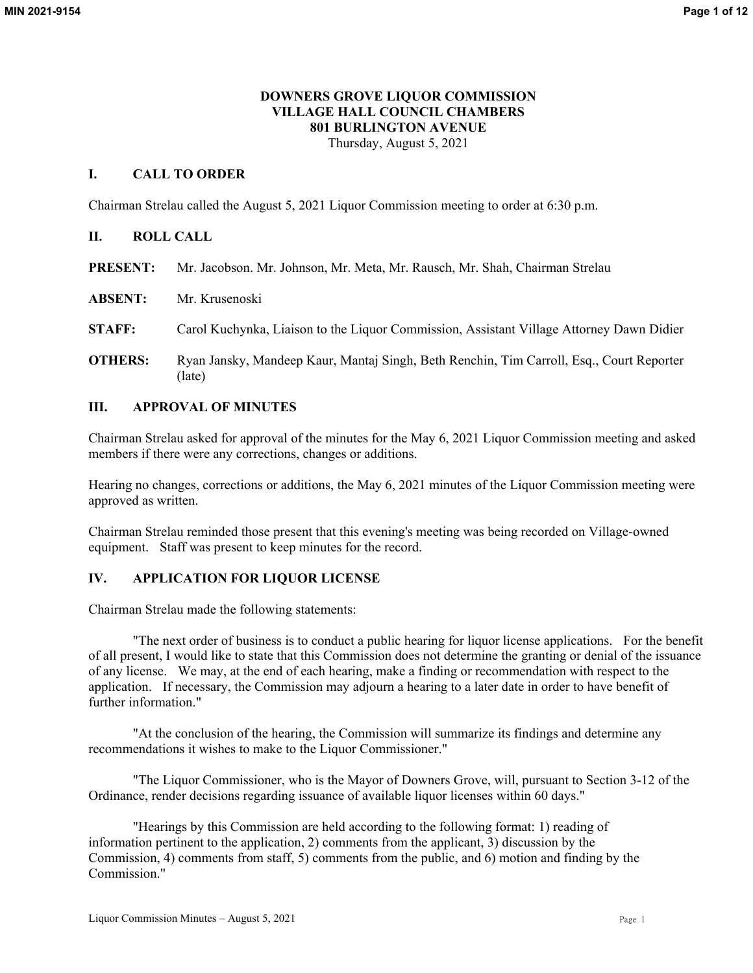# **DOWNERS GROVE LIQUOR COMMISSION VILLAGE HALL COUNCIL CHAMBERS 801 BURLINGTON AVENUE**

Thursday, August 5, 2021

# **I. CALL TO ORDER**

Chairman Strelau called the August 5, 2021 Liquor Commission meeting to order at 6:30 p.m.

# **II. ROLL CALL**

- **PRESENT:** Mr. Jacobson. Mr. Johnson, Mr. Meta, Mr. Rausch, Mr. Shah, Chairman Strelau
- **ABSENT:** Mr. Krusenoski
- **STAFF:** Carol Kuchynka, Liaison to the Liquor Commission, Assistant Village Attorney Dawn Didier
- **OTHERS:** Ryan Jansky, Mandeep Kaur, Mantaj Singh, Beth Renchin, Tim Carroll, Esq., Court Reporter (late)

# **III. APPROVAL OF MINUTES**

Chairman Strelau asked for approval of the minutes for the May 6, 2021 Liquor Commission meeting and asked members if there were any corrections, changes or additions.

Hearing no changes, corrections or additions, the May 6, 2021 minutes of the Liquor Commission meeting were approved as written.

Chairman Strelau reminded those present that this evening's meeting was being recorded on Village-owned equipment. Staff was present to keep minutes for the record.

# **IV. APPLICATION FOR LIQUOR LICENSE**

Chairman Strelau made the following statements:

"The next order of business is to conduct a public hearing for liquor license applications. For the benefit of all present, I would like to state that this Commission does not determine the granting or denial of the issuance of any license. We may, at the end of each hearing, make a finding or recommendation with respect to the application. If necessary, the Commission may adjourn a hearing to a later date in order to have benefit of further information."

"At the conclusion of the hearing, the Commission will summarize its findings and determine any recommendations it wishes to make to the Liquor Commissioner."

"The Liquor Commissioner, who is the Mayor of Downers Grove, will, pursuant to Section 3-12 of the Ordinance, render decisions regarding issuance of available liquor licenses within 60 days."

"Hearings by this Commission are held according to the following format: 1) reading of information pertinent to the application, 2) comments from the applicant, 3) discussion by the Commission, 4) comments from staff, 5) comments from the public, and 6) motion and finding by the Commission."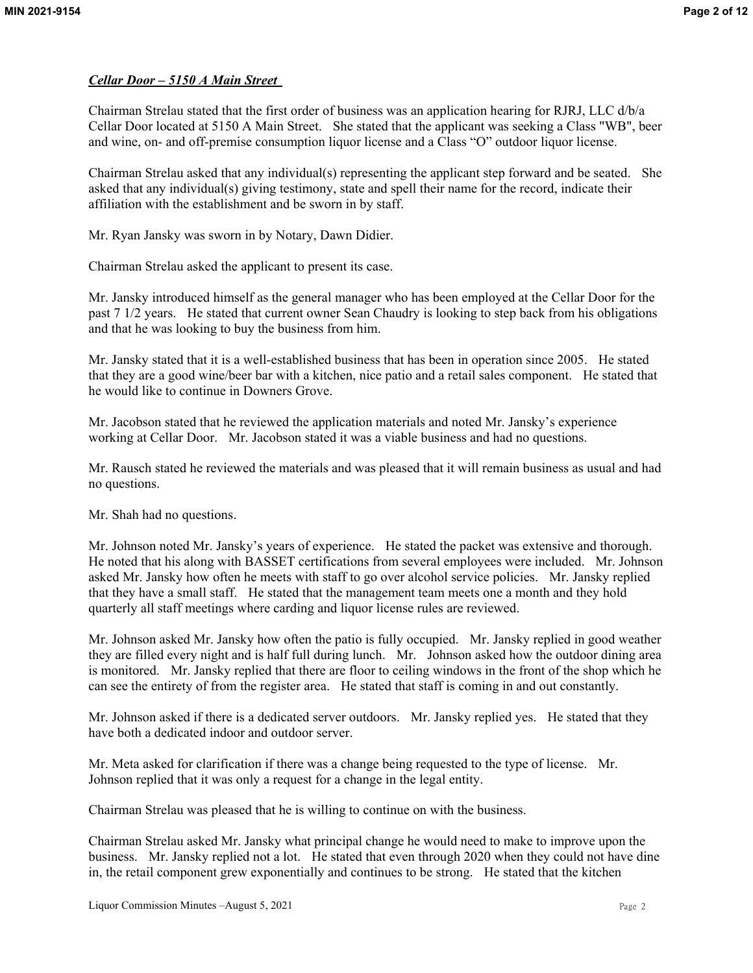# *Cellar Door – 5150 A Main Street*

Chairman Strelau stated that the first order of business was an application hearing for RJRJ, LLC d/b/a Cellar Door located at 5150 A Main Street. She stated that the applicant was seeking a Class "WB", beer and wine, on- and off-premise consumption liquor license and a Class "O" outdoor liquor license.

Chairman Strelau asked that any individual(s) representing the applicant step forward and be seated. She asked that any individual(s) giving testimony, state and spell their name for the record, indicate their affiliation with the establishment and be sworn in by staff.

Mr. Ryan Jansky was sworn in by Notary, Dawn Didier.

Chairman Strelau asked the applicant to present its case.

Mr. Jansky introduced himself as the general manager who has been employed at the Cellar Door for the past 7 1/2 years. He stated that current owner Sean Chaudry is looking to step back from his obligations and that he was looking to buy the business from him.

Mr. Jansky stated that it is a well-established business that has been in operation since 2005. He stated that they are a good wine/beer bar with a kitchen, nice patio and a retail sales component. He stated that he would like to continue in Downers Grove.

Mr. Jacobson stated that he reviewed the application materials and noted Mr. Jansky's experience working at Cellar Door. Mr. Jacobson stated it was a viable business and had no questions.

Mr. Rausch stated he reviewed the materials and was pleased that it will remain business as usual and had no questions.

Mr. Shah had no questions.

Mr. Johnson noted Mr. Jansky's years of experience. He stated the packet was extensive and thorough. He noted that his along with BASSET certifications from several employees were included. Mr. Johnson asked Mr. Jansky how often he meets with staff to go over alcohol service policies. Mr. Jansky replied that they have a small staff. He stated that the management team meets one a month and they hold quarterly all staff meetings where carding and liquor license rules are reviewed.

Mr. Johnson asked Mr. Jansky how often the patio is fully occupied. Mr. Jansky replied in good weather they are filled every night and is half full during lunch. Mr. Johnson asked how the outdoor dining area is monitored. Mr. Jansky replied that there are floor to ceiling windows in the front of the shop which he can see the entirety of from the register area. He stated that staff is coming in and out constantly.

Mr. Johnson asked if there is a dedicated server outdoors. Mr. Jansky replied yes. He stated that they have both a dedicated indoor and outdoor server.

Mr. Meta asked for clarification if there was a change being requested to the type of license. Mr. Johnson replied that it was only a request for a change in the legal entity.

Chairman Strelau was pleased that he is willing to continue on with the business.

Chairman Strelau asked Mr. Jansky what principal change he would need to make to improve upon the business. Mr. Jansky replied not a lot. He stated that even through 2020 when they could not have dine in, the retail component grew exponentially and continues to be strong. He stated that the kitchen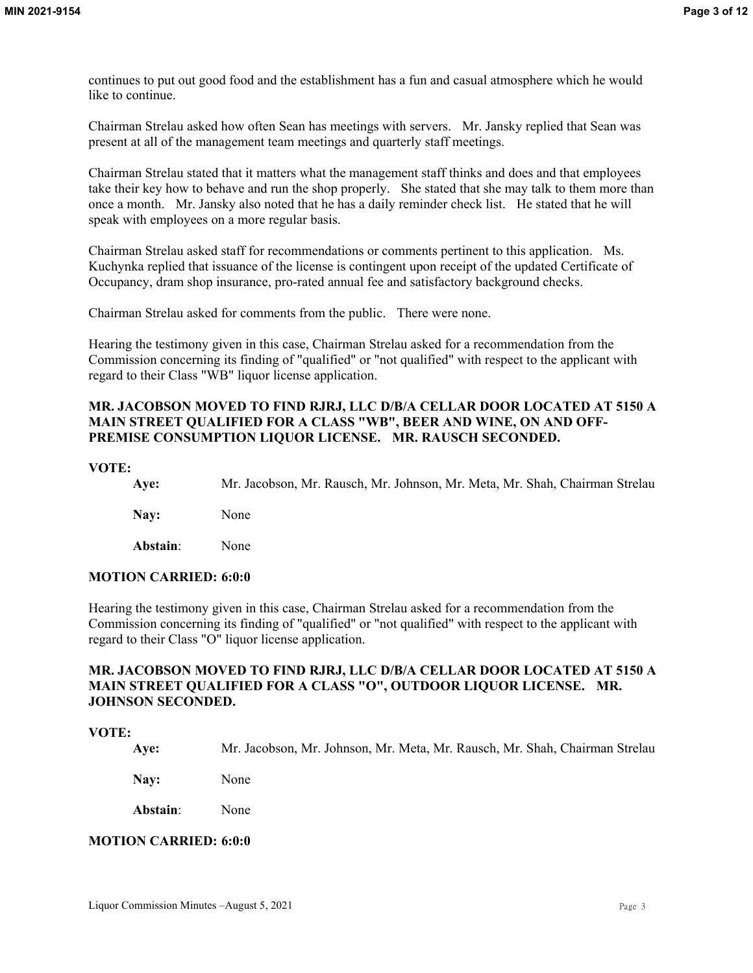continues to put out good food and the establishment has a fun and casual atmosphere which he would like to continue.

Chairman Strelau asked how often Sean has meetings with servers. Mr. Jansky replied that Sean was present at all of the management team meetings and quarterly staff meetings.

Chairman Strelau stated that it matters what the management staff thinks and does and that employees take their key how to behave and run the shop properly. She stated that she may talk to them more than once a month. Mr. Jansky also noted that he has a daily reminder check list. He stated that he will speak with employees on a more regular basis.

Chairman Strelau asked staff for recommendations or comments pertinent to this application. Ms. Kuchynka replied that issuance of the license is contingent upon receipt of the updated Certificate of Occupancy, dram shop insurance, pro-rated annual fee and satisfactory background checks.

Chairman Strelau asked for comments from the public. There were none.

Hearing the testimony given in this case, Chairman Strelau asked for a recommendation from the Commission concerning its finding of "qualified" or "not qualified" with respect to the applicant with regard to their Class "WB" liquor license application.

# **MR. JACOBSON MOVED TO FIND RJRJ, LLC D/B/A CELLAR DOOR LOCATED AT 5150 A MAIN STREET QUALIFIED FOR A CLASS "WB", BEER AND WINE, ON AND OFF-PREMISE CONSUMPTION LIQUOR LICENSE. MR. RAUSCH SECONDED.**

#### **VOTE:**

| Ave:     | Mr. Jacobson, Mr. Rausch, Mr. Johnson, Mr. Meta, Mr. Shah, Chairman Strelau |
|----------|-----------------------------------------------------------------------------|
| Nav:     | <b>None</b>                                                                 |
| Abstain: | None                                                                        |

# **MOTION CARRIED: 6:0:0**

Hearing the testimony given in this case, Chairman Strelau asked for a recommendation from the Commission concerning its finding of "qualified" or "not qualified" with respect to the applicant with regard to their Class "O" liquor license application.

# **MR. JACOBSON MOVED TO FIND RJRJ, LLC D/B/A CELLAR DOOR LOCATED AT 5150 A MAIN STREET QUALIFIED FOR A CLASS "O", OUTDOOR LIQUOR LICENSE. MR. JOHNSON SECONDED.**

# **VOTE:**

**Aye:** Mr. Jacobson, Mr. Johnson, Mr. Meta, Mr. Rausch, Mr. Shah, Chairman Strelau

**Nay:** None

**Abstain**: None

# **MOTION CARRIED: 6:0:0**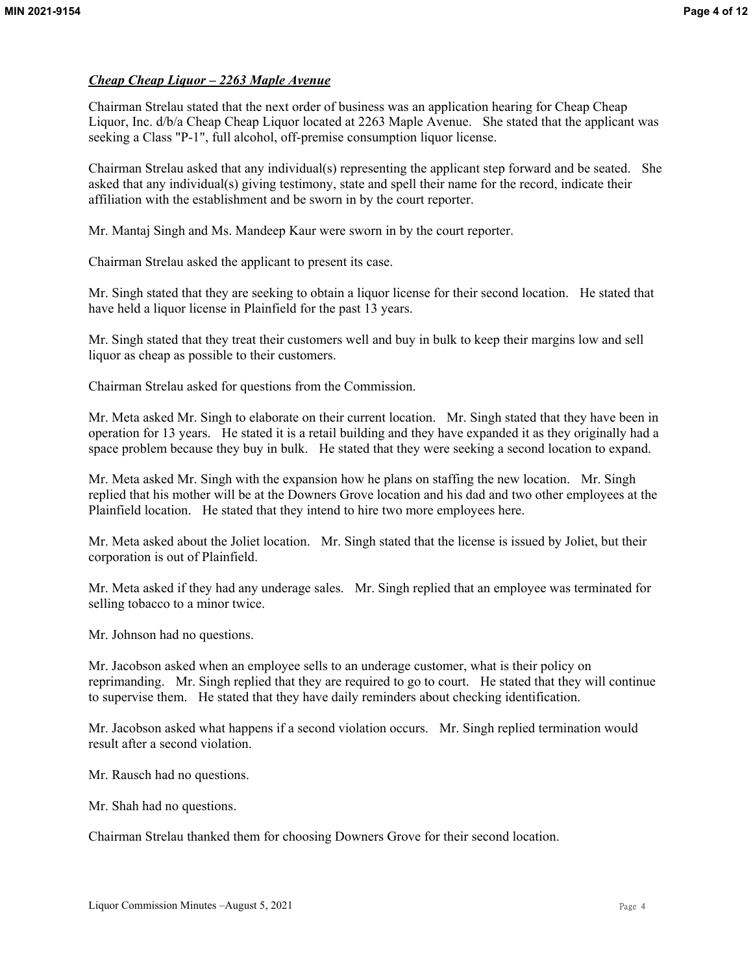# *Cheap Cheap Liquor – 2263 Maple Avenue*

Chairman Strelau stated that the next order of business was an application hearing for Cheap Cheap Liquor, Inc. d/b/a Cheap Cheap Liquor located at 2263 Maple Avenue. She stated that the applicant was seeking a Class "P-1", full alcohol, off-premise consumption liquor license.

Chairman Strelau asked that any individual(s) representing the applicant step forward and be seated. She asked that any individual(s) giving testimony, state and spell their name for the record, indicate their affiliation with the establishment and be sworn in by the court reporter.

Mr. Mantaj Singh and Ms. Mandeep Kaur were sworn in by the court reporter.

Chairman Strelau asked the applicant to present its case.

Mr. Singh stated that they are seeking to obtain a liquor license for their second location. He stated that have held a liquor license in Plainfield for the past 13 years.

Mr. Singh stated that they treat their customers well and buy in bulk to keep their margins low and sell liquor as cheap as possible to their customers.

Chairman Strelau asked for questions from the Commission.

Mr. Meta asked Mr. Singh to elaborate on their current location. Mr. Singh stated that they have been in operation for 13 years. He stated it is a retail building and they have expanded it as they originally had a space problem because they buy in bulk. He stated that they were seeking a second location to expand.

Mr. Meta asked Mr. Singh with the expansion how he plans on staffing the new location. Mr. Singh replied that his mother will be at the Downers Grove location and his dad and two other employees at the Plainfield location. He stated that they intend to hire two more employees here.

Mr. Meta asked about the Joliet location. Mr. Singh stated that the license is issued by Joliet, but their corporation is out of Plainfield.

Mr. Meta asked if they had any underage sales. Mr. Singh replied that an employee was terminated for selling tobacco to a minor twice.

Mr. Johnson had no questions.

Mr. Jacobson asked when an employee sells to an underage customer, what is their policy on reprimanding. Mr. Singh replied that they are required to go to court. He stated that they will continue to supervise them. He stated that they have daily reminders about checking identification.

Mr. Jacobson asked what happens if a second violation occurs. Mr. Singh replied termination would result after a second violation.

Mr. Rausch had no questions.

Mr. Shah had no questions.

Chairman Strelau thanked them for choosing Downers Grove for their second location.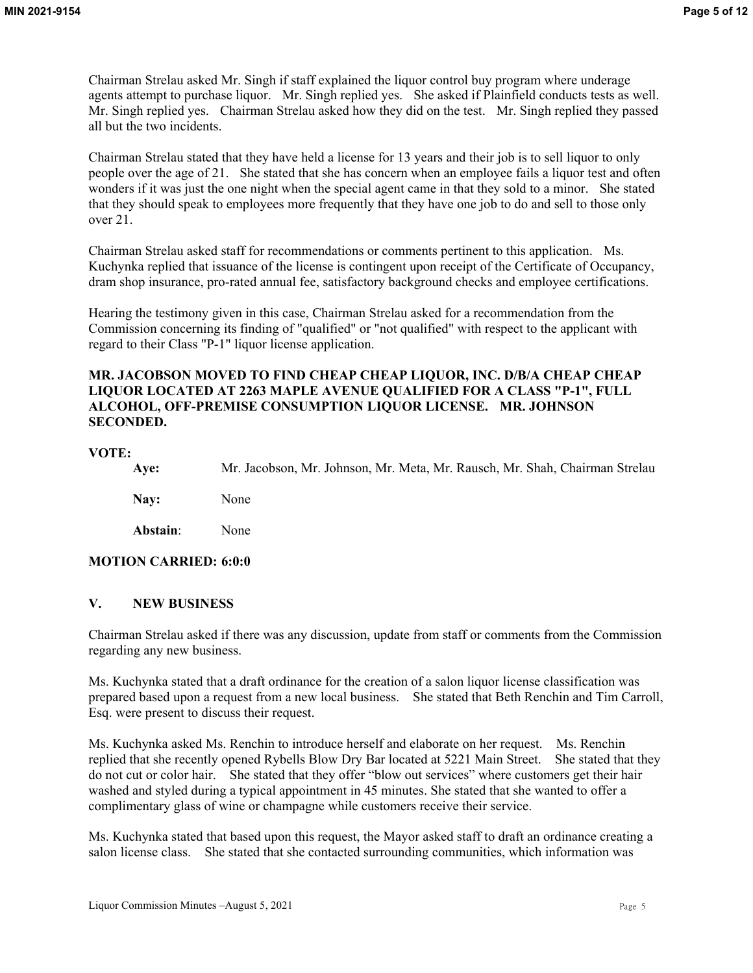Chairman Strelau asked Mr. Singh if staff explained the liquor control buy program where underage agents attempt to purchase liquor. Mr. Singh replied yes. She asked if Plainfield conducts tests as well. Mr. Singh replied yes. Chairman Strelau asked how they did on the test. Mr. Singh replied they passed all but the two incidents.

Chairman Strelau stated that they have held a license for 13 years and their job is to sell liquor to only people over the age of 21. She stated that she has concern when an employee fails a liquor test and often wonders if it was just the one night when the special agent came in that they sold to a minor. She stated that they should speak to employees more frequently that they have one job to do and sell to those only over 21.

Chairman Strelau asked staff for recommendations or comments pertinent to this application. Ms. Kuchynka replied that issuance of the license is contingent upon receipt of the Certificate of Occupancy, dram shop insurance, pro-rated annual fee, satisfactory background checks and employee certifications.

Hearing the testimony given in this case, Chairman Strelau asked for a recommendation from the Commission concerning its finding of "qualified" or "not qualified" with respect to the applicant with regard to their Class "P-1" liquor license application.

# **MR. JACOBSON MOVED TO FIND CHEAP CHEAP LIQUOR, INC. D/B/A CHEAP CHEAP LIQUOR LOCATED AT 2263 MAPLE AVENUE QUALIFIED FOR A CLASS "P-1", FULL ALCOHOL, OFF-PREMISE CONSUMPTION LIQUOR LICENSE. MR. JOHNSON SECONDED.**

# **VOTE:**

**Aye:** Mr. Jacobson, Mr. Johnson, Mr. Meta, Mr. Rausch, Mr. Shah, Chairman Strelau

**Nay:** None

**Abstain**: None

# **MOTION CARRIED: 6:0:0**

# **V. NEW BUSINESS**

Chairman Strelau asked if there was any discussion, update from staff or comments from the Commission regarding any new business.

Ms. Kuchynka stated that a draft ordinance for the creation of a salon liquor license classification was prepared based upon a request from a new local business. She stated that Beth Renchin and Tim Carroll, Esq. were present to discuss their request.

Ms. Kuchynka asked Ms. Renchin to introduce herself and elaborate on her request. Ms. Renchin replied that she recently opened Rybells Blow Dry Bar located at 5221 Main Street. She stated that they do not cut or color hair. She stated that they offer "blow out services" where customers get their hair washed and styled during a typical appointment in 45 minutes. She stated that she wanted to offer a complimentary glass of wine or champagne while customers receive their service.

Ms. Kuchynka stated that based upon this request, the Mayor asked staff to draft an ordinance creating a salon license class. She stated that she contacted surrounding communities, which information was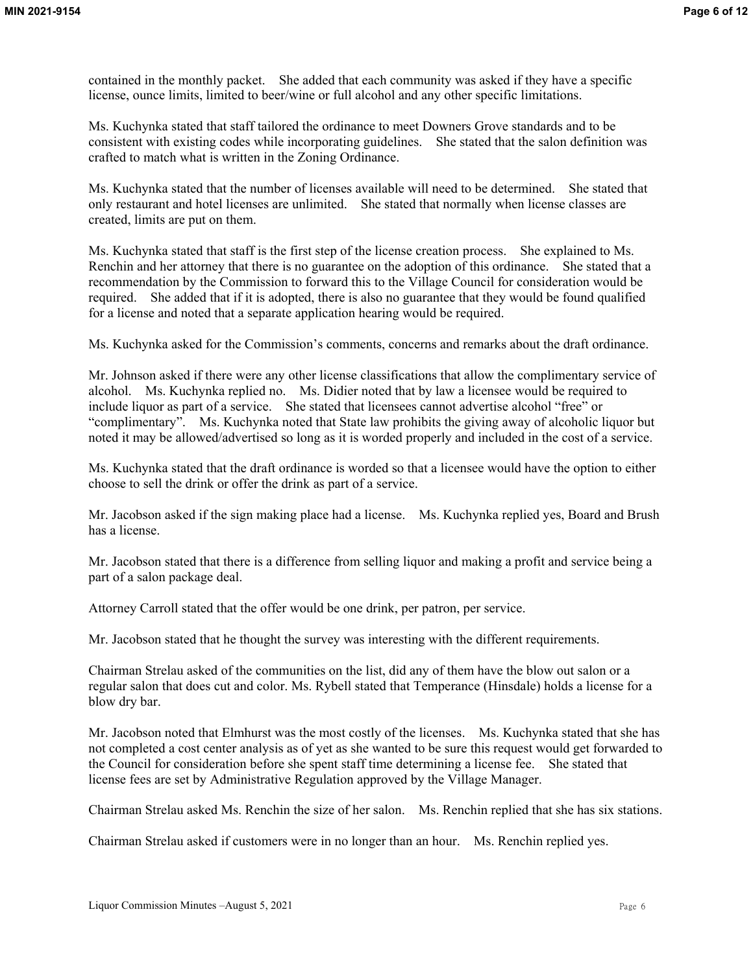contained in the monthly packet. She added that each community was asked if they have a specific license, ounce limits, limited to beer/wine or full alcohol and any other specific limitations.

Ms. Kuchynka stated that staff tailored the ordinance to meet Downers Grove standards and to be consistent with existing codes while incorporating guidelines. She stated that the salon definition was crafted to match what is written in the Zoning Ordinance.

Ms. Kuchynka stated that the number of licenses available will need to be determined. She stated that only restaurant and hotel licenses are unlimited. She stated that normally when license classes are created, limits are put on them.

Ms. Kuchynka stated that staff is the first step of the license creation process. She explained to Ms. Renchin and her attorney that there is no guarantee on the adoption of this ordinance. She stated that a recommendation by the Commission to forward this to the Village Council for consideration would be required. She added that if it is adopted, there is also no guarantee that they would be found qualified for a license and noted that a separate application hearing would be required.

Ms. Kuchynka asked for the Commission's comments, concerns and remarks about the draft ordinance.

Mr. Johnson asked if there were any other license classifications that allow the complimentary service of alcohol. Ms. Kuchynka replied no. Ms. Didier noted that by law a licensee would be required to include liquor as part of a service. She stated that licensees cannot advertise alcohol "free" or "complimentary". Ms. Kuchynka noted that State law prohibits the giving away of alcoholic liquor but noted it may be allowed/advertised so long as it is worded properly and included in the cost of a service.

Ms. Kuchynka stated that the draft ordinance is worded so that a licensee would have the option to either choose to sell the drink or offer the drink as part of a service.

Mr. Jacobson asked if the sign making place had a license. Ms. Kuchynka replied yes, Board and Brush has a license.

Mr. Jacobson stated that there is a difference from selling liquor and making a profit and service being a part of a salon package deal.

Attorney Carroll stated that the offer would be one drink, per patron, per service.

Mr. Jacobson stated that he thought the survey was interesting with the different requirements.

Chairman Strelau asked of the communities on the list, did any of them have the blow out salon or a regular salon that does cut and color. Ms. Rybell stated that Temperance (Hinsdale) holds a license for a blow dry bar.

Mr. Jacobson noted that Elmhurst was the most costly of the licenses. Ms. Kuchynka stated that she has not completed a cost center analysis as of yet as she wanted to be sure this request would get forwarded to the Council for consideration before she spent staff time determining a license fee. She stated that license fees are set by Administrative Regulation approved by the Village Manager.

Chairman Strelau asked Ms. Renchin the size of her salon. Ms. Renchin replied that she has six stations.

Chairman Strelau asked if customers were in no longer than an hour. Ms. Renchin replied yes.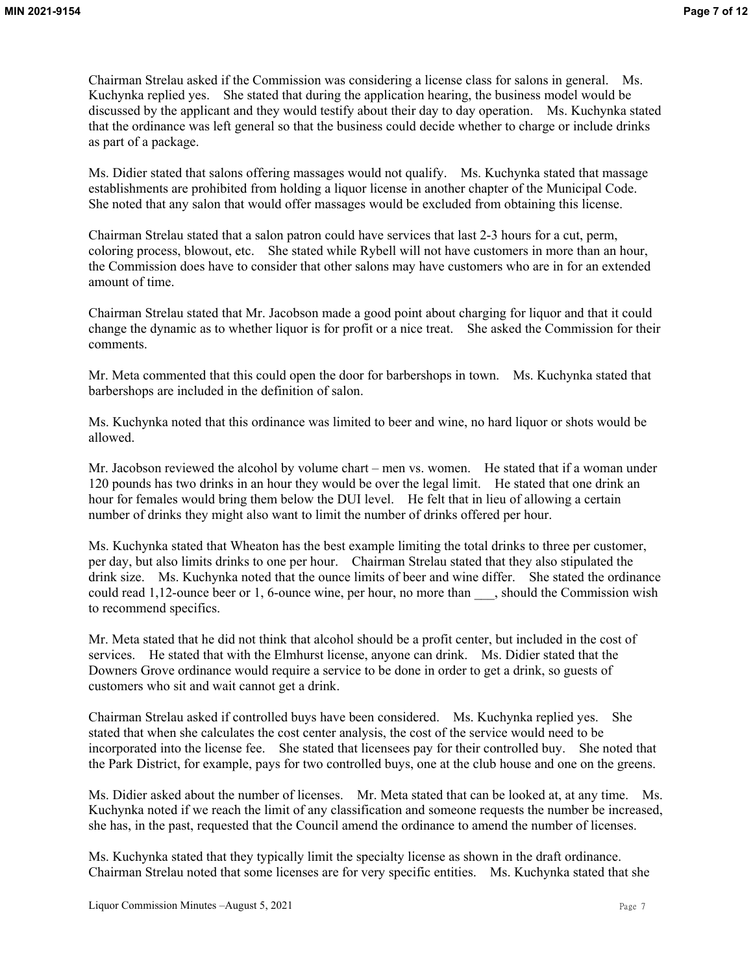Chairman Strelau asked if the Commission was considering a license class for salons in general. Ms. Kuchynka replied yes. She stated that during the application hearing, the business model would be discussed by the applicant and they would testify about their day to day operation. Ms. Kuchynka stated that the ordinance was left general so that the business could decide whether to charge or include drinks as part of a package.

Ms. Didier stated that salons offering massages would not qualify. Ms. Kuchynka stated that massage establishments are prohibited from holding a liquor license in another chapter of the Municipal Code. She noted that any salon that would offer massages would be excluded from obtaining this license.

Chairman Strelau stated that a salon patron could have services that last 2-3 hours for a cut, perm, coloring process, blowout, etc. She stated while Rybell will not have customers in more than an hour, the Commission does have to consider that other salons may have customers who are in for an extended amount of time.

Chairman Strelau stated that Mr. Jacobson made a good point about charging for liquor and that it could change the dynamic as to whether liquor is for profit or a nice treat. She asked the Commission for their comments.

Mr. Meta commented that this could open the door for barbershops in town. Ms. Kuchynka stated that barbershops are included in the definition of salon.

Ms. Kuchynka noted that this ordinance was limited to beer and wine, no hard liquor or shots would be allowed.

Mr. Jacobson reviewed the alcohol by volume chart – men vs. women. He stated that if a woman under 120 pounds has two drinks in an hour they would be over the legal limit. He stated that one drink an hour for females would bring them below the DUI level. He felt that in lieu of allowing a certain number of drinks they might also want to limit the number of drinks offered per hour.

Ms. Kuchynka stated that Wheaton has the best example limiting the total drinks to three per customer, per day, but also limits drinks to one per hour. Chairman Strelau stated that they also stipulated the drink size. Ms. Kuchynka noted that the ounce limits of beer and wine differ. She stated the ordinance could read 1,12-ounce beer or 1, 6-ounce wine, per hour, no more than , should the Commission wish to recommend specifics.

Mr. Meta stated that he did not think that alcohol should be a profit center, but included in the cost of services. He stated that with the Elmhurst license, anyone can drink. Ms. Didier stated that the Downers Grove ordinance would require a service to be done in order to get a drink, so guests of customers who sit and wait cannot get a drink.

Chairman Strelau asked if controlled buys have been considered. Ms. Kuchynka replied yes. She stated that when she calculates the cost center analysis, the cost of the service would need to be incorporated into the license fee. She stated that licensees pay for their controlled buy. She noted that the Park District, for example, pays for two controlled buys, one at the club house and one on the greens.

Ms. Didier asked about the number of licenses. Mr. Meta stated that can be looked at, at any time. Ms. Kuchynka noted if we reach the limit of any classification and someone requests the number be increased, she has, in the past, requested that the Council amend the ordinance to amend the number of licenses.

Ms. Kuchynka stated that they typically limit the specialty license as shown in the draft ordinance. Chairman Strelau noted that some licenses are for very specific entities. Ms. Kuchynka stated that she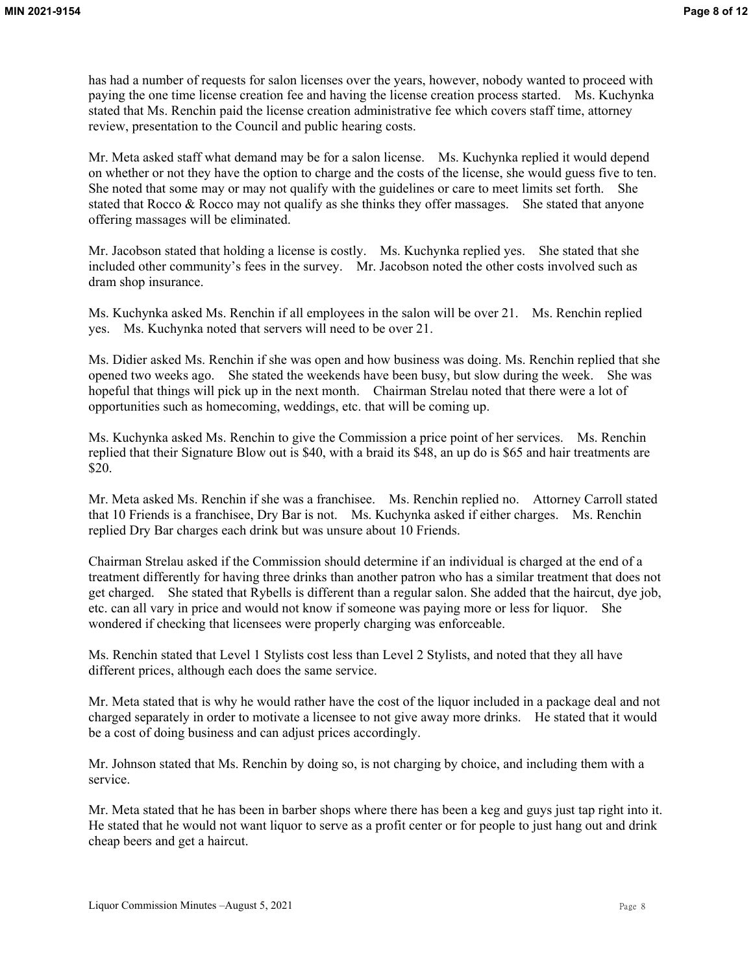has had a number of requests for salon licenses over the years, however, nobody wanted to proceed with paying the one time license creation fee and having the license creation process started. Ms. Kuchynka stated that Ms. Renchin paid the license creation administrative fee which covers staff time, attorney review, presentation to the Council and public hearing costs.

Mr. Meta asked staff what demand may be for a salon license. Ms. Kuchynka replied it would depend on whether or not they have the option to charge and the costs of the license, she would guess five to ten. She noted that some may or may not qualify with the guidelines or care to meet limits set forth. She stated that Rocco & Rocco may not qualify as she thinks they offer massages. She stated that anyone offering massages will be eliminated.

Mr. Jacobson stated that holding a license is costly. Ms. Kuchynka replied yes. She stated that she included other community's fees in the survey. Mr. Jacobson noted the other costs involved such as dram shop insurance.

Ms. Kuchynka asked Ms. Renchin if all employees in the salon will be over 21. Ms. Renchin replied yes. Ms. Kuchynka noted that servers will need to be over 21.

Ms. Didier asked Ms. Renchin if she was open and how business was doing. Ms. Renchin replied that she opened two weeks ago. She stated the weekends have been busy, but slow during the week. She was hopeful that things will pick up in the next month. Chairman Strelau noted that there were a lot of opportunities such as homecoming, weddings, etc. that will be coming up.

Ms. Kuchynka asked Ms. Renchin to give the Commission a price point of her services. Ms. Renchin replied that their Signature Blow out is \$40, with a braid its \$48, an up do is \$65 and hair treatments are \$20.

Mr. Meta asked Ms. Renchin if she was a franchisee. Ms. Renchin replied no. Attorney Carroll stated that 10 Friends is a franchisee, Dry Bar is not. Ms. Kuchynka asked if either charges. Ms. Renchin replied Dry Bar charges each drink but was unsure about 10 Friends.

Chairman Strelau asked if the Commission should determine if an individual is charged at the end of a treatment differently for having three drinks than another patron who has a similar treatment that does not get charged. She stated that Rybells is different than a regular salon. She added that the haircut, dye job, etc. can all vary in price and would not know if someone was paying more or less for liquor. She wondered if checking that licensees were properly charging was enforceable.

Ms. Renchin stated that Level 1 Stylists cost less than Level 2 Stylists, and noted that they all have different prices, although each does the same service.

Mr. Meta stated that is why he would rather have the cost of the liquor included in a package deal and not charged separately in order to motivate a licensee to not give away more drinks. He stated that it would be a cost of doing business and can adjust prices accordingly.

Mr. Johnson stated that Ms. Renchin by doing so, is not charging by choice, and including them with a service.

Mr. Meta stated that he has been in barber shops where there has been a keg and guys just tap right into it. He stated that he would not want liquor to serve as a profit center or for people to just hang out and drink cheap beers and get a haircut.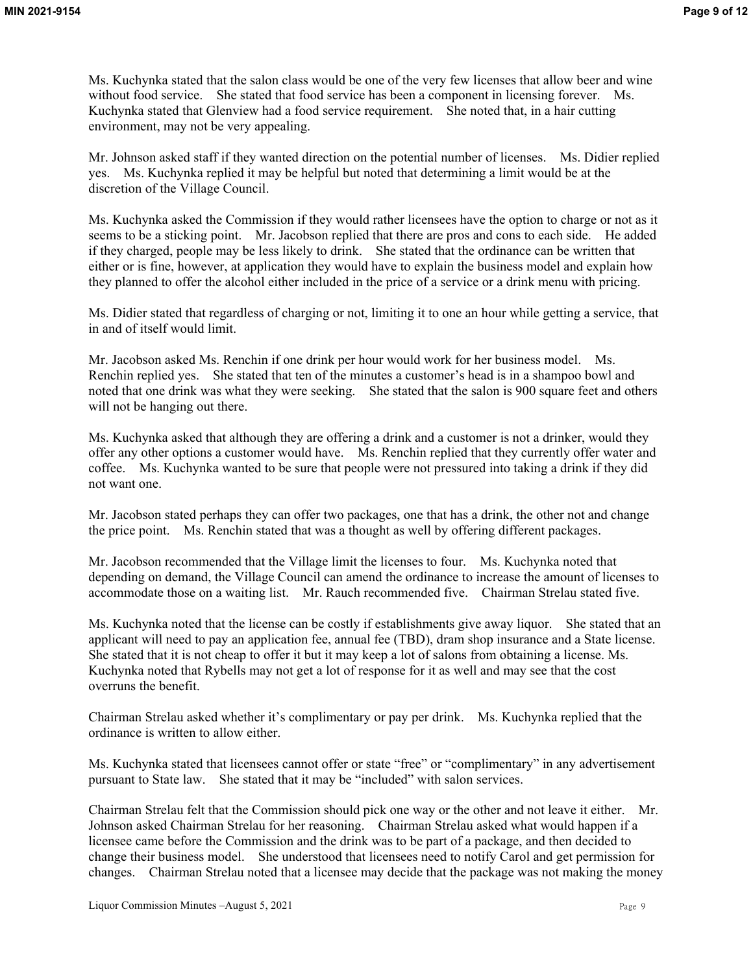Ms. Kuchynka stated that the salon class would be one of the very few licenses that allow beer and wine without food service. She stated that food service has been a component in licensing forever. Ms. Kuchynka stated that Glenview had a food service requirement. She noted that, in a hair cutting environment, may not be very appealing.

Mr. Johnson asked staff if they wanted direction on the potential number of licenses. Ms. Didier replied yes. Ms. Kuchynka replied it may be helpful but noted that determining a limit would be at the discretion of the Village Council.

Ms. Kuchynka asked the Commission if they would rather licensees have the option to charge or not as it seems to be a sticking point. Mr. Jacobson replied that there are pros and cons to each side. He added if they charged, people may be less likely to drink. She stated that the ordinance can be written that either or is fine, however, at application they would have to explain the business model and explain how they planned to offer the alcohol either included in the price of a service or a drink menu with pricing.

Ms. Didier stated that regardless of charging or not, limiting it to one an hour while getting a service, that in and of itself would limit.

Mr. Jacobson asked Ms. Renchin if one drink per hour would work for her business model. Ms. Renchin replied yes. She stated that ten of the minutes a customer's head is in a shampoo bowl and noted that one drink was what they were seeking. She stated that the salon is 900 square feet and others will not be hanging out there.

Ms. Kuchynka asked that although they are offering a drink and a customer is not a drinker, would they offer any other options a customer would have. Ms. Renchin replied that they currently offer water and coffee. Ms. Kuchynka wanted to be sure that people were not pressured into taking a drink if they did not want one.

Mr. Jacobson stated perhaps they can offer two packages, one that has a drink, the other not and change the price point. Ms. Renchin stated that was a thought as well by offering different packages.

Mr. Jacobson recommended that the Village limit the licenses to four. Ms. Kuchynka noted that depending on demand, the Village Council can amend the ordinance to increase the amount of licenses to accommodate those on a waiting list. Mr. Rauch recommended five. Chairman Strelau stated five.

Ms. Kuchynka noted that the license can be costly if establishments give away liquor. She stated that an applicant will need to pay an application fee, annual fee (TBD), dram shop insurance and a State license. She stated that it is not cheap to offer it but it may keep a lot of salons from obtaining a license. Ms. Kuchynka noted that Rybells may not get a lot of response for it as well and may see that the cost overruns the benefit.

Chairman Strelau asked whether it's complimentary or pay per drink. Ms. Kuchynka replied that the ordinance is written to allow either.

Ms. Kuchynka stated that licensees cannot offer or state "free" or "complimentary" in any advertisement pursuant to State law. She stated that it may be "included" with salon services.

Chairman Strelau felt that the Commission should pick one way or the other and not leave it either. Mr. Johnson asked Chairman Strelau for her reasoning. Chairman Strelau asked what would happen if a licensee came before the Commission and the drink was to be part of a package, and then decided to change their business model. She understood that licensees need to notify Carol and get permission for changes. Chairman Strelau noted that a licensee may decide that the package was not making the money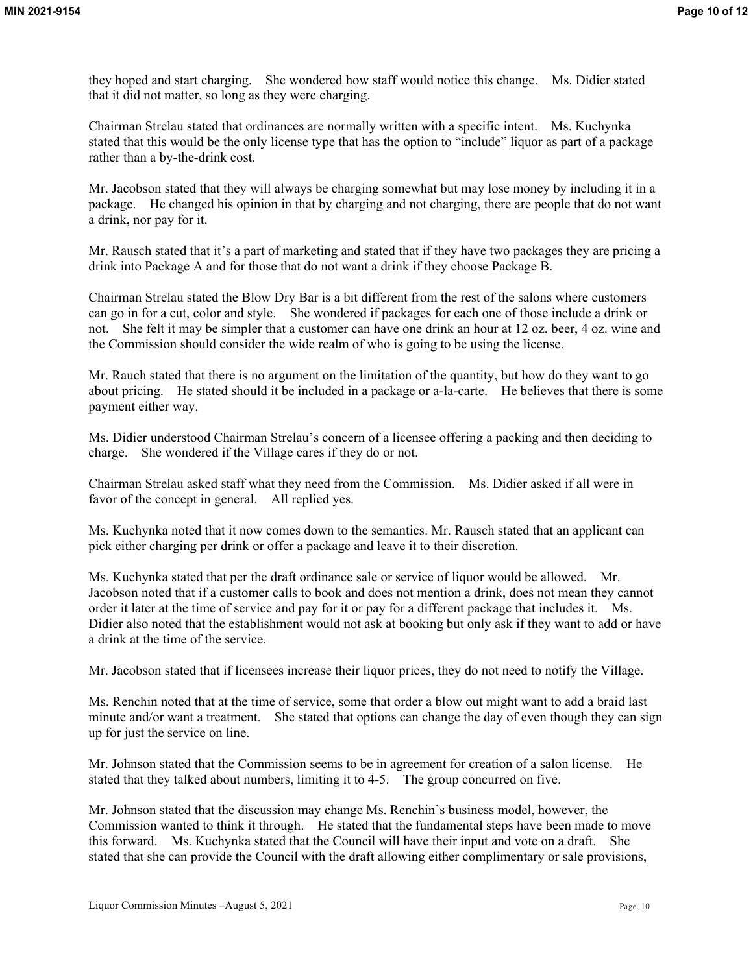they hoped and start charging. She wondered how staff would notice this change. Ms. Didier stated that it did not matter, so long as they were charging.

Chairman Strelau stated that ordinances are normally written with a specific intent. Ms. Kuchynka stated that this would be the only license type that has the option to "include" liquor as part of a package rather than a by-the-drink cost.

Mr. Jacobson stated that they will always be charging somewhat but may lose money by including it in a package. He changed his opinion in that by charging and not charging, there are people that do not want a drink, nor pay for it.

Mr. Rausch stated that it's a part of marketing and stated that if they have two packages they are pricing a drink into Package A and for those that do not want a drink if they choose Package B.

Chairman Strelau stated the Blow Dry Bar is a bit different from the rest of the salons where customers can go in for a cut, color and style. She wondered if packages for each one of those include a drink or not. She felt it may be simpler that a customer can have one drink an hour at 12 oz. beer, 4 oz. wine and the Commission should consider the wide realm of who is going to be using the license.

Mr. Rauch stated that there is no argument on the limitation of the quantity, but how do they want to go about pricing. He stated should it be included in a package or a-la-carte. He believes that there is some payment either way.

Ms. Didier understood Chairman Strelau's concern of a licensee offering a packing and then deciding to charge. She wondered if the Village cares if they do or not.

Chairman Strelau asked staff what they need from the Commission. Ms. Didier asked if all were in favor of the concept in general. All replied yes.

Ms. Kuchynka noted that it now comes down to the semantics. Mr. Rausch stated that an applicant can pick either charging per drink or offer a package and leave it to their discretion.

Ms. Kuchynka stated that per the draft ordinance sale or service of liquor would be allowed. Mr. Jacobson noted that if a customer calls to book and does not mention a drink, does not mean they cannot order it later at the time of service and pay for it or pay for a different package that includes it. Ms. Didier also noted that the establishment would not ask at booking but only ask if they want to add or have a drink at the time of the service.

Mr. Jacobson stated that if licensees increase their liquor prices, they do not need to notify the Village.

Ms. Renchin noted that at the time of service, some that order a blow out might want to add a braid last minute and/or want a treatment. She stated that options can change the day of even though they can sign up for just the service on line.

Mr. Johnson stated that the Commission seems to be in agreement for creation of a salon license. He stated that they talked about numbers, limiting it to 4-5. The group concurred on five.

Mr. Johnson stated that the discussion may change Ms. Renchin's business model, however, the Commission wanted to think it through. He stated that the fundamental steps have been made to move this forward. Ms. Kuchynka stated that the Council will have their input and vote on a draft. She stated that she can provide the Council with the draft allowing either complimentary or sale provisions,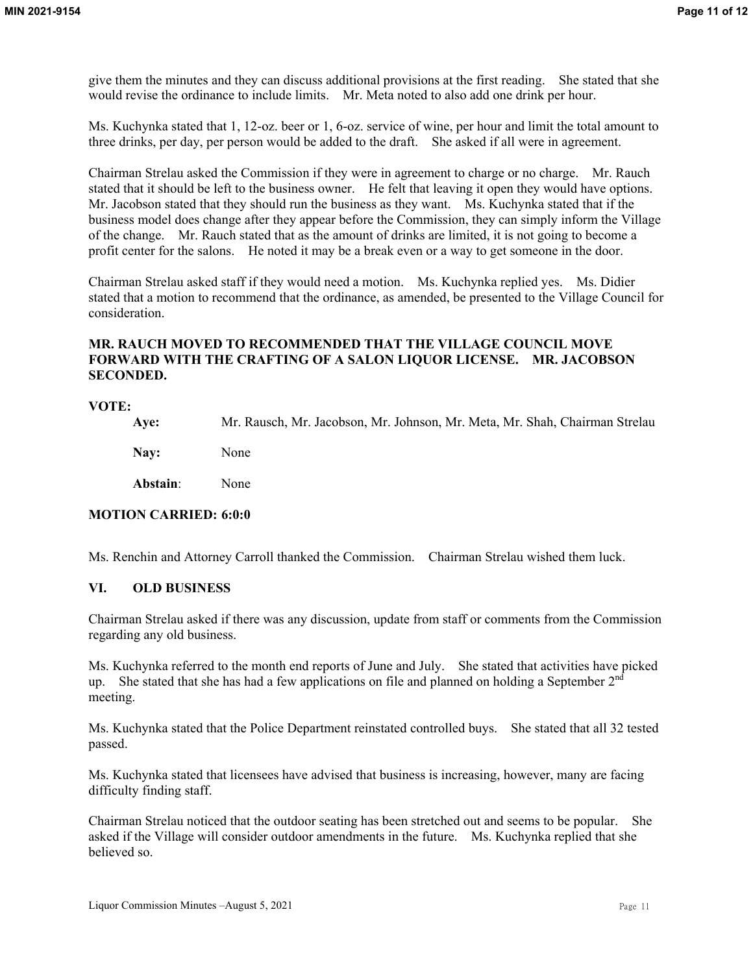give them the minutes and they can discuss additional provisions at the first reading. She stated that she would revise the ordinance to include limits. Mr. Meta noted to also add one drink per hour.

Ms. Kuchynka stated that 1, 12-oz. beer or 1, 6-oz. service of wine, per hour and limit the total amount to three drinks, per day, per person would be added to the draft. She asked if all were in agreement.

Chairman Strelau asked the Commission if they were in agreement to charge or no charge. Mr. Rauch stated that it should be left to the business owner. He felt that leaving it open they would have options. Mr. Jacobson stated that they should run the business as they want. Ms. Kuchynka stated that if the business model does change after they appear before the Commission, they can simply inform the Village of the change. Mr. Rauch stated that as the amount of drinks are limited, it is not going to become a profit center for the salons. He noted it may be a break even or a way to get someone in the door.

Chairman Strelau asked staff if they would need a motion. Ms. Kuchynka replied yes. Ms. Didier stated that a motion to recommend that the ordinance, as amended, be presented to the Village Council for consideration.

# **MR. RAUCH MOVED TO RECOMMENDED THAT THE VILLAGE COUNCIL MOVE FORWARD WITH THE CRAFTING OF A SALON LIQUOR LICENSE. MR. JACOBSON SECONDED.**

#### **VOTE:**

**Aye:** Mr. Rausch, Mr. Jacobson, Mr. Johnson, Mr. Meta, Mr. Shah, Chairman Strelau **Nay:** None **Abstain**: None

# **MOTION CARRIED: 6:0:0**

Ms. Renchin and Attorney Carroll thanked the Commission. Chairman Strelau wished them luck.

#### **VI. OLD BUSINESS**

Chairman Strelau asked if there was any discussion, update from staff or comments from the Commission regarding any old business.

Ms. Kuchynka referred to the month end reports of June and July. She stated that activities have picked up. She stated that she has had a few applications on file and planned on holding a September  $2<sup>nd</sup>$ meeting.

Ms. Kuchynka stated that the Police Department reinstated controlled buys. She stated that all 32 tested passed.

Ms. Kuchynka stated that licensees have advised that business is increasing, however, many are facing difficulty finding staff.

Chairman Strelau noticed that the outdoor seating has been stretched out and seems to be popular. She asked if the Village will consider outdoor amendments in the future. Ms. Kuchynka replied that she believed so.